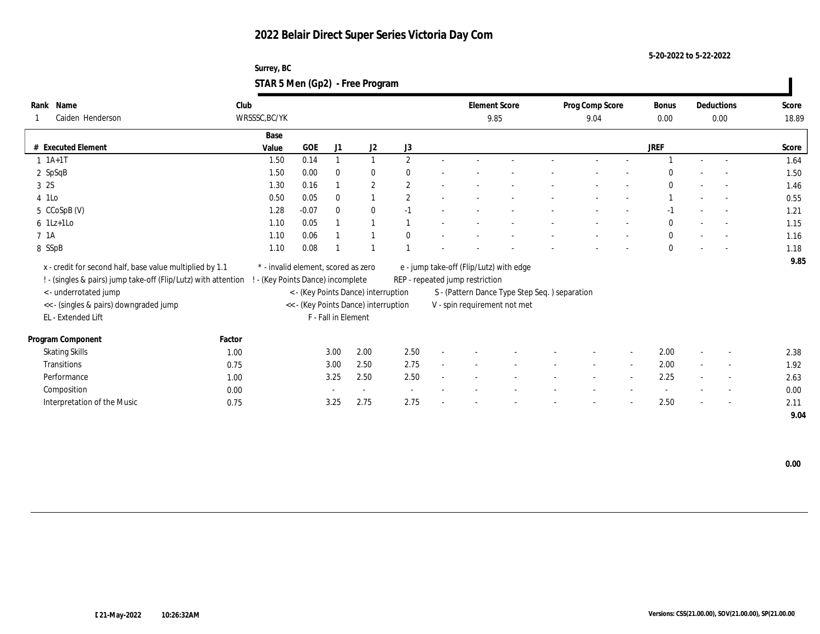**5-20-2022 to 5-22-2022**

| Surrey, BC                      |  |
|---------------------------------|--|
| STAR 5 Men (Gp2) - Free Program |  |

| Name<br>Rank                                                   | Club                              |                                     |                     |                                      |                |                                 | <b>Element Score</b>                           | Prog Comp Score |        | Bonus        |                          | Deductions               | Score |
|----------------------------------------------------------------|-----------------------------------|-------------------------------------|---------------------|--------------------------------------|----------------|---------------------------------|------------------------------------------------|-----------------|--------|--------------|--------------------------|--------------------------|-------|
| Caiden Henderson                                               | WRSSSC, BC/YK                     |                                     |                     |                                      |                |                                 | 9.85                                           | 9.04            |        | 0.00         |                          | 0.00                     | 18.89 |
|                                                                | Base                              |                                     |                     |                                      |                |                                 |                                                |                 |        |              |                          |                          |       |
| # Executed Element                                             | Value                             | <b>GOE</b>                          | J1                  | J2                                   | J3             |                                 |                                                |                 |        | JREF         |                          |                          | Score |
| $1 \; 1A+1T$                                                   | 1.50                              | 0.14                                |                     | $\mathbf{1}$                         | $\mathbf{2}$   |                                 |                                                |                 |        |              |                          |                          | 1.64  |
| 2 SpSqB                                                        | 1.50                              | 0.00                                | $\bf{0}$            | $\bf{0}$                             | $\theta$       |                                 |                                                |                 |        | $\Omega$     |                          |                          | 1.50  |
| 3 2S                                                           | 1.30                              | 0.16                                |                     | $\boldsymbol{2}$                     | $\overline{2}$ |                                 |                                                |                 |        | $\Omega$     |                          | $\sim$                   | 1.46  |
| 4 1Lo                                                          | 0.50                              | 0.05                                | $\mathbf{0}$        | 1                                    | $\overline{2}$ |                                 |                                                |                 |        |              |                          | $\sim$                   | 0.55  |
| 5 CCoSpB (V)                                                   | 1.28                              | $-0.07$                             | $\mathbf{0}$        | $\bf{0}$                             | $-1$           |                                 |                                                |                 |        | -1           |                          |                          | 1.21  |
| $6$ 1Lz+1Lo                                                    | 1.10                              | 0.05                                |                     | $\overline{1}$                       |                |                                 |                                                |                 |        | $\mathbf{0}$ |                          |                          | 1.15  |
| 7 1A                                                           | 1.10                              | 0.06                                |                     |                                      | $\theta$       |                                 |                                                |                 |        | $\mathbf{0}$ |                          |                          | 1.16  |
| 8 SSpB                                                         | 1.10                              | 0.08                                |                     |                                      |                |                                 |                                                |                 |        | $\mathbf{0}$ |                          |                          | 1.18  |
| x - credit for second half, base value multiplied by 1.1       |                                   | * - invalid element, scored as zero |                     |                                      |                |                                 | e - jump take-off (Flip/Lutz) with edge        |                 |        |              |                          |                          | 9.85  |
| ! - (singles & pairs) jump take-off (Flip/Lutz) with attention | ! - (Key Points Dance) incomplete |                                     |                     |                                      |                | REP - repeated jump restriction |                                                |                 |        |              |                          |                          |       |
| <- underrotated jump                                           |                                   |                                     |                     | < - (Key Points Dance) interruption  |                |                                 | S - (Pattern Dance Type Step Seq. ) separation |                 |        |              |                          |                          |       |
| << - (singles & pairs) downgraded jump                         |                                   |                                     |                     | << - (Key Points Dance) interruption |                |                                 | V - spin requirement not met                   |                 |        |              |                          |                          |       |
| EL - Extended Lift                                             |                                   |                                     | F - Fall in Element |                                      |                |                                 |                                                |                 |        |              |                          |                          |       |
| Program Component                                              | Factor                            |                                     |                     |                                      |                |                                 |                                                |                 |        |              |                          |                          |       |
| <b>Skating Skills</b>                                          | 1.00                              |                                     | 3.00                | 2.00                                 | 2.50           |                                 |                                                |                 |        | 2.00         | $\overline{\phantom{a}}$ | $\overline{\phantom{a}}$ | 2.38  |
| Transitions                                                    | 0.75                              |                                     | 3.00                | 2.50                                 | 2.75           |                                 |                                                | $\sim$          | $\sim$ | 2.00         | $\sim$                   | $\overline{\phantom{a}}$ | 1.92  |
| Performance                                                    | 1.00                              |                                     | 3.25                | 2.50                                 | 2.50           |                                 |                                                |                 |        | 2.25         |                          | $\overline{\phantom{a}}$ | 2.63  |
| Composition                                                    | 0.00                              |                                     |                     | $\sim$                               |                |                                 |                                                |                 |        |              |                          | $\overline{\phantom{a}}$ | 0.00  |
| Interpretation of the Music                                    | 0.75                              |                                     | 3.25                | 2.75                                 | 2.75           |                                 |                                                |                 |        | 2.50         |                          | $\overline{\phantom{a}}$ | 2.11  |
|                                                                |                                   |                                     |                     |                                      |                |                                 |                                                |                 |        |              |                          |                          | 9.04  |

 **0.00**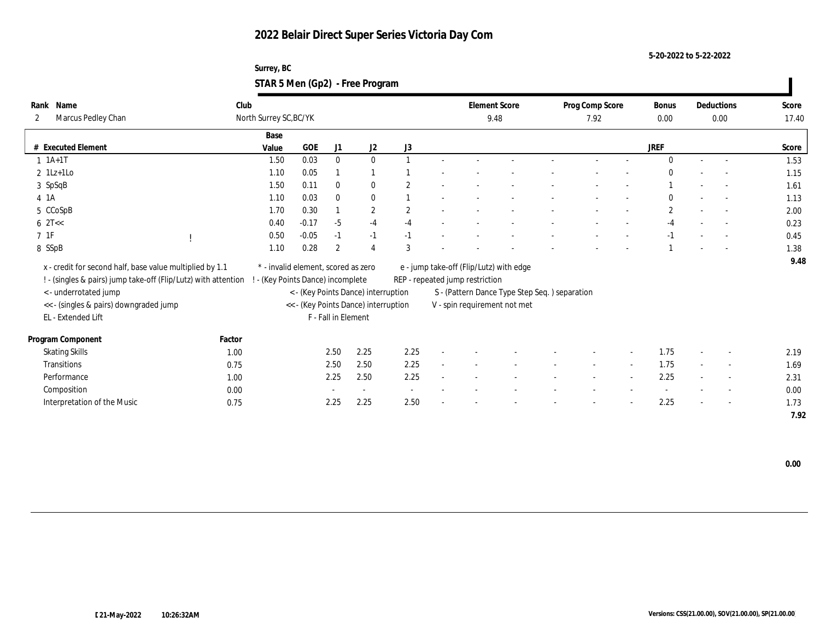#### **Surrey, BC STAR 5 Men (Gp2) - Free Program**

| Rank               | Name                                                                                             | Club   |                                     |         |                     |                                      |                          |              |                                 | <b>Element Score</b>                          | Prog Comp Score |        | Bonus        |        | Deductions               | Score |
|--------------------|--------------------------------------------------------------------------------------------------|--------|-------------------------------------|---------|---------------------|--------------------------------------|--------------------------|--------------|---------------------------------|-----------------------------------------------|-----------------|--------|--------------|--------|--------------------------|-------|
| 2                  | Marcus Pedley Chan                                                                               |        | North Surrey SC, BC/YK              |         |                     |                                      |                          |              |                                 | 9.48                                          | 7.92            |        | 0.00         |        | $0.00\,$                 | 17.40 |
|                    |                                                                                                  |        | Base                                |         |                     |                                      |                          |              |                                 |                                               |                 |        |              |        |                          |       |
|                    | # Executed Element                                                                               |        | Value                               | GOE     | J1                  | J2                                   | J3                       |              |                                 |                                               |                 |        | <b>JREF</b>  |        |                          | Score |
|                    | $1 \t1A+1T$                                                                                      |        | 1.50                                | 0.03    | $\mathbf{0}$        | $\bf{0}$                             |                          |              |                                 |                                               |                 |        | $\Omega$     |        | $\sim$                   | 1.53  |
|                    | $2 \text{ } 1\text{Lz+1LO}$                                                                      |        | 1.10                                | 0.05    |                     |                                      |                          |              |                                 |                                               |                 |        | $\Omega$     |        |                          | 1.15  |
|                    | 3 SpSqB                                                                                          |        | 1.50                                | 0.11    | $\mathbf{0}$        | $\bf{0}$                             | $\overline{2}$           |              |                                 |                                               |                 |        |              |        |                          | 1.61  |
| 4 1A               |                                                                                                  |        | 1.10                                | 0.03    | $\mathbf{0}$        | $\bf{0}$                             |                          |              |                                 |                                               |                 |        | $\theta$     |        | $\sim$                   | 1.13  |
|                    | 5 CCoSpB                                                                                         |        | 1.70                                | 0.30    |                     | $\mathbf{2}$                         | $\mathbf{2}$             |              |                                 |                                               |                 |        | $\mathbf{2}$ |        |                          | 2.00  |
| $6 \text{ } 2T <<$ |                                                                                                  |        | 0.40                                | $-0.17$ | $-5$                | $-4$                                 | $-4$                     |              |                                 |                                               |                 |        | $-4$         |        | $\sim$                   | 0.23  |
| $7\;\;1\mathrm{F}$ |                                                                                                  |        | 0.50                                | $-0.05$ | $-1$                | $-1$                                 | $-1$                     |              |                                 |                                               |                 |        | $-1$         |        |                          | 0.45  |
| 8 SSpB             |                                                                                                  |        | 1.10                                | 0.28    | $\mathbf{2}$        | $\boldsymbol{\Lambda}$               | 3                        |              |                                 |                                               |                 |        |              |        |                          | 1.38  |
|                    | x - credit for second half, base value multiplied by 1.1                                         |        | * - invalid element, scored as zero |         |                     |                                      |                          |              |                                 | e - jump take-off (Flip/Lutz) with edge       |                 |        |              |        |                          | 9.48  |
|                    | ! - (singles & pairs) jump take-off (Flip/Lutz) with attention ! - (Key Points Dance) incomplete |        |                                     |         |                     |                                      |                          |              | REP - repeated jump restriction |                                               |                 |        |              |        |                          |       |
|                    |                                                                                                  |        |                                     |         |                     | < - (Key Points Dance) interruption  |                          |              |                                 | S - (Pattern Dance Type Step Seq.) separation |                 |        |              |        |                          |       |
|                    | < - underrotated jump                                                                            |        |                                     |         |                     |                                      |                          |              |                                 |                                               |                 |        |              |        |                          |       |
|                    | << - (singles & pairs) downgraded jump<br>EL - Extended Lift                                     |        |                                     |         | F - Fall in Element | << - (Key Points Dance) interruption |                          |              |                                 | V - spin requirement not met                  |                 |        |              |        |                          |       |
|                    |                                                                                                  |        |                                     |         |                     |                                      |                          |              |                                 |                                               |                 |        |              |        |                          |       |
|                    | Program Component                                                                                | Factor |                                     |         |                     |                                      |                          |              |                                 |                                               |                 |        |              |        |                          |       |
|                    | <b>Skating Skills</b>                                                                            | 1.00   |                                     |         | 2.50                | 2.25                                 | 2.25                     |              |                                 |                                               |                 |        | 1.75         |        | $\overline{\phantom{a}}$ | 2.19  |
|                    | <b>Transitions</b>                                                                               | 0.75   |                                     |         | 2.50                | 2.50                                 | 2.25                     | $\mathbf{r}$ |                                 |                                               | $\sim$          | $\sim$ | 1.75         | $\sim$ | $\sim$                   | 1.69  |
|                    | Performance                                                                                      | 1.00   |                                     |         | 2.25                | 2.50                                 | 2.25                     |              |                                 |                                               |                 |        | 2.25         |        | $\overline{\phantom{a}}$ | 2.31  |
|                    | Composition                                                                                      | 0.00   |                                     |         |                     |                                      | $\overline{\phantom{a}}$ |              |                                 |                                               |                 |        |              |        | $\overline{\phantom{a}}$ | 0.00  |
|                    | Interpretation of the Music                                                                      | 0.75   |                                     |         | 2.25                | 2.25                                 | 2.50                     |              |                                 |                                               |                 |        | 2.25         |        | $\overline{\phantom{a}}$ | 1.73  |
|                    |                                                                                                  |        |                                     |         |                     |                                      |                          |              |                                 |                                               |                 |        |              |        |                          | 7.92  |

 **0.00**

 $\mathbf{I}$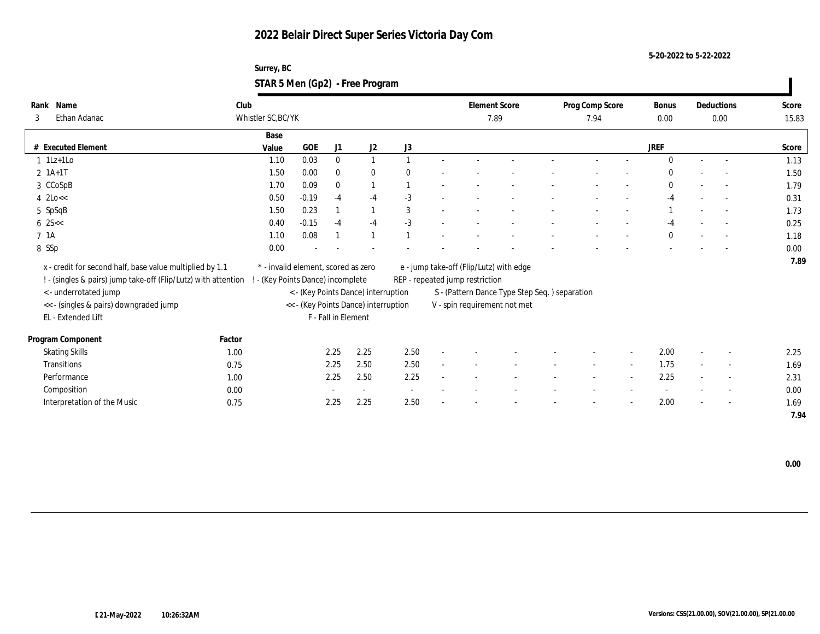**Surrey, BC STAR 5 Men (Gp2) - Free Program**

| Name<br>Rank                                                   | Club               |                                     |                     |                                      |                                 |        |      | <b>Element Score</b>                          | Prog Comp Score |        | Bonus        |        | Deductions               | Score |
|----------------------------------------------------------------|--------------------|-------------------------------------|---------------------|--------------------------------------|---------------------------------|--------|------|-----------------------------------------------|-----------------|--------|--------------|--------|--------------------------|-------|
| Ethan Adanac<br>3                                              | Whistler SC, BC/YK |                                     |                     |                                      |                                 |        | 7.89 |                                               | 7.94            |        | 0.00         |        | 0.00                     | 15.83 |
|                                                                | Base               |                                     |                     |                                      |                                 |        |      |                                               |                 |        |              |        |                          |       |
| # Executed Element                                             | Value              | <b>GOE</b>                          | J1                  | J2                                   | J3                              |        |      |                                               |                 |        | <b>JREF</b>  |        |                          | Score |
| $1$ 1Lz+1Lo                                                    | 1.10               | 0.03                                | $\bf{0}$            |                                      |                                 |        |      |                                               |                 |        | $\mathbf{0}$ |        | $\sim$                   | 1.13  |
| $2 \; 1A+1T$                                                   | 1.50               | 0.00                                | $\mathbf{0}$        | $\bf{0}$                             |                                 |        |      |                                               |                 |        | $\mathbf{0}$ |        | $\overline{a}$           | 1.50  |
| 3 CCoSpB                                                       | 1.70               | 0.09                                | $\mathbf{0}$        |                                      |                                 |        |      |                                               |                 |        | $\mathbf{0}$ |        | $\sim$                   | 1.79  |
| $4$ 2Lo $<<$                                                   | 0.50               | $-0.19$                             | $-4$                | $-4$                                 | $-3$                            |        |      |                                               |                 |        | $-4$         |        | $\overline{\phantom{a}}$ | 0.31  |
| 5 SpSqB                                                        | 1.50               | 0.23                                |                     |                                      | 3                               |        |      |                                               |                 |        |              |        |                          | 1.73  |
| $6 \, 25 <$                                                    | 0.40               | $-0.15$                             | $-4$                | $-4$                                 | $-3$                            |        |      |                                               |                 |        | -4           |        |                          | 0.25  |
| 7 <sub>1A</sub>                                                | 1.10               | 0.08                                |                     |                                      |                                 |        |      |                                               |                 |        | $\mathbf{0}$ |        | $\sim$                   | 1.18  |
| 8 SSp                                                          | 0.00               |                                     |                     |                                      |                                 |        |      |                                               |                 |        |              |        |                          | 0.00  |
| x - credit for second half, base value multiplied by 1.1       |                    | * - invalid element, scored as zero |                     |                                      |                                 |        |      | e - jump take-off (Flip/Lutz) with edge       |                 |        |              |        |                          | 7.89  |
| ! - (singles & pairs) jump take-off (Flip/Lutz) with attention |                    | - (Key Points Dance) incomplete     |                     |                                      | REP - repeated jump restriction |        |      |                                               |                 |        |              |        |                          |       |
| <- underrotated jump                                           |                    |                                     |                     | < - (Key Points Dance) interruption  |                                 |        |      | S - (Pattern Dance Type Step Seq.) separation |                 |        |              |        |                          |       |
| << - (singles & pairs) downgraded jump                         |                    |                                     |                     | << - (Key Points Dance) interruption |                                 |        |      | V - spin requirement not met                  |                 |        |              |        |                          |       |
| EL - Extended Lift                                             |                    |                                     | F - Fall in Element |                                      |                                 |        |      |                                               |                 |        |              |        |                          |       |
|                                                                |                    |                                     |                     |                                      |                                 |        |      |                                               |                 |        |              |        |                          |       |
| Program Component                                              | Factor             |                                     |                     |                                      |                                 |        |      |                                               |                 |        |              |        |                          |       |
| <b>Skating Skills</b>                                          | 1.00               |                                     | 2.25                | 2.25                                 | 2.50                            |        |      |                                               |                 |        | 2.00         |        | $\overline{\phantom{a}}$ | 2.25  |
| Transitions                                                    | 0.75               |                                     | 2.25                | 2.50                                 | 2.50                            | $\sim$ |      |                                               | $\sim$          | $\sim$ | 1.75         | $\sim$ | $\sim$                   | 1.69  |
| Performance                                                    | 1.00               |                                     | 2.25                | 2.50                                 | 2.25                            |        |      |                                               |                 |        | 2.25         |        | $\overline{\phantom{a}}$ | 2.31  |
| Composition                                                    | 0.00               |                                     |                     |                                      |                                 |        |      |                                               |                 |        |              |        | $\overline{\phantom{a}}$ | 0.00  |
| Interpretation of the Music                                    | 0.75               |                                     | 2.25                | 2.25                                 | 2.50                            |        |      |                                               |                 |        | 2.00         |        | $\overline{\phantom{a}}$ | 1.69  |
|                                                                |                    |                                     |                     |                                      |                                 |        |      |                                               |                 |        |              |        |                          | 7.94  |

 **0.00**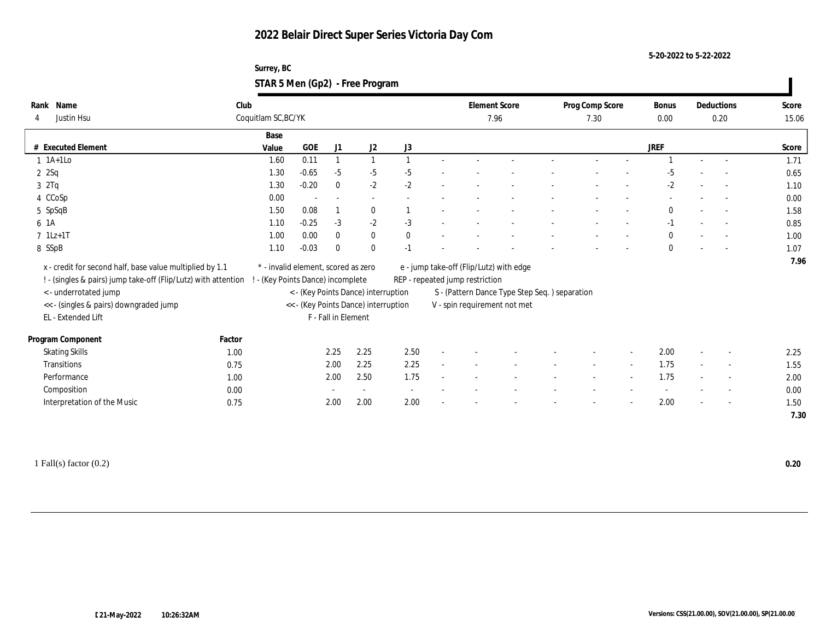**Surrey, BC STAR 5 Men (Gp2) - Free Program**

| Name<br>Rank                                                   | Club                |                                      |                     |                                     |                          | <b>Element Score</b>            |                                               | Prog Comp Score |                          | <b>Bonus</b> |                          | Deductions               | Score |
|----------------------------------------------------------------|---------------------|--------------------------------------|---------------------|-------------------------------------|--------------------------|---------------------------------|-----------------------------------------------|-----------------|--------------------------|--------------|--------------------------|--------------------------|-------|
| Justin Hsu<br>4                                                | Coquitlam SC, BC/YK |                                      |                     |                                     |                          |                                 | 7.96                                          | 7.30            |                          | $0.00\,$     |                          | 0.20                     | 15.06 |
|                                                                | Base                |                                      |                     |                                     |                          |                                 |                                               |                 |                          |              |                          |                          |       |
| # Executed Element                                             | Value               | GOE                                  | J1                  | J2                                  | J3                       |                                 |                                               |                 |                          | JREF         |                          |                          | Score |
| $1$ 1A+1Lo                                                     | 1.60                | 0.11                                 |                     | $\mathbf{1}$                        |                          |                                 |                                               |                 |                          |              |                          |                          | 1.71  |
| 2 Sq                                                           | 1.30                | $-0.65$                              | $-5$                | $-5$                                | $-5$                     |                                 |                                               |                 |                          | $-5$         |                          | $\sim$                   | 0.65  |
| 32Tq                                                           | 1.30                | $-0.20$                              | $\mathbf{0}$        | $-2$                                | $-2$                     |                                 |                                               |                 |                          | $-2$         |                          |                          | 1.10  |
| 4 CCoSp                                                        | 0.00                |                                      | ÷                   | $\sim$                              |                          |                                 |                                               |                 |                          |              |                          |                          | 0.00  |
| 5 SpSqB                                                        | 1.50                | 0.08                                 |                     | $\bf{0}$                            |                          |                                 |                                               |                 |                          | $\mathbf{0}$ |                          |                          | 1.58  |
| 6 1A                                                           | 1.10                | $-0.25$                              | $-3$                | $-2$                                | $-3$                     |                                 |                                               |                 |                          | $-1$         |                          |                          | 0.85  |
| $7$ 1Lz+1T                                                     | 1.00                | 0.00                                 | $\mathbf{0}$        | $\bf{0}$                            | $\mathbf{0}$             |                                 |                                               |                 |                          | $\mathbf{0}$ |                          | $\overline{\phantom{a}}$ | 1.00  |
| 8 SSpB                                                         | 1.10                | $-0.03$                              | $\mathbf{0}$        | $\mathbf{0}$                        | $-1$                     |                                 |                                               |                 |                          | $\mathbf{0}$ |                          |                          | 1.07  |
| x - credit for second half, base value multiplied by 1.1       |                     | * - invalid element, scored as zero  |                     |                                     |                          |                                 | e - jump take-off (Flip/Lutz) with edge       |                 |                          |              |                          |                          | 7.96  |
| ! - (singles & pairs) jump take-off (Flip/Lutz) with attention |                     | ! - (Key Points Dance) incomplete    |                     |                                     |                          | REP - repeated jump restriction |                                               |                 |                          |              |                          |                          |       |
| <- underrotated jump                                           |                     |                                      |                     | < - (Key Points Dance) interruption |                          |                                 | S - (Pattern Dance Type Step Seq.) separation |                 |                          |              |                          |                          |       |
| << - (singles & pairs) downgraded jump                         |                     | << - (Key Points Dance) interruption |                     |                                     |                          |                                 | V - spin requirement not met                  |                 |                          |              |                          |                          |       |
| EL - Extended Lift                                             |                     |                                      | F - Fall in Element |                                     |                          |                                 |                                               |                 |                          |              |                          |                          |       |
|                                                                |                     |                                      |                     |                                     |                          |                                 |                                               |                 |                          |              |                          |                          |       |
| Program Component                                              | Factor              |                                      |                     |                                     |                          |                                 |                                               |                 |                          |              |                          |                          |       |
| <b>Skating Skills</b>                                          | 1.00                |                                      | 2.25                | 2.25                                | 2.50                     |                                 |                                               |                 |                          | 2.00         |                          | $\overline{\phantom{a}}$ | 2.25  |
| Transitions                                                    | 0.75                |                                      | 2.00                | 2.25                                | 2.25                     |                                 |                                               |                 | $\sim$                   | 1.75         | $\sim$                   | $\overline{\phantom{a}}$ | 1.55  |
| Performance                                                    | 1.00                |                                      | 2.00                | 2.50                                | 1.75                     |                                 |                                               |                 | $\overline{\phantom{a}}$ | 1.75         | $\overline{\phantom{a}}$ | $\sim$                   | 2.00  |
| Composition                                                    | 0.00                |                                      |                     | $\sim$                              | $\overline{\phantom{a}}$ |                                 |                                               |                 |                          |              |                          | $\overline{\phantom{a}}$ | 0.00  |
| Interpretation of the Music                                    | 0.75                |                                      | 2.00                | 2.00                                | 2.00                     |                                 |                                               |                 |                          | 2.00         | $\overline{\phantom{a}}$ | $\sim$                   | 1.50  |
|                                                                |                     |                                      |                     |                                     |                          |                                 |                                               |                 |                          |              |                          |                          | 7.30  |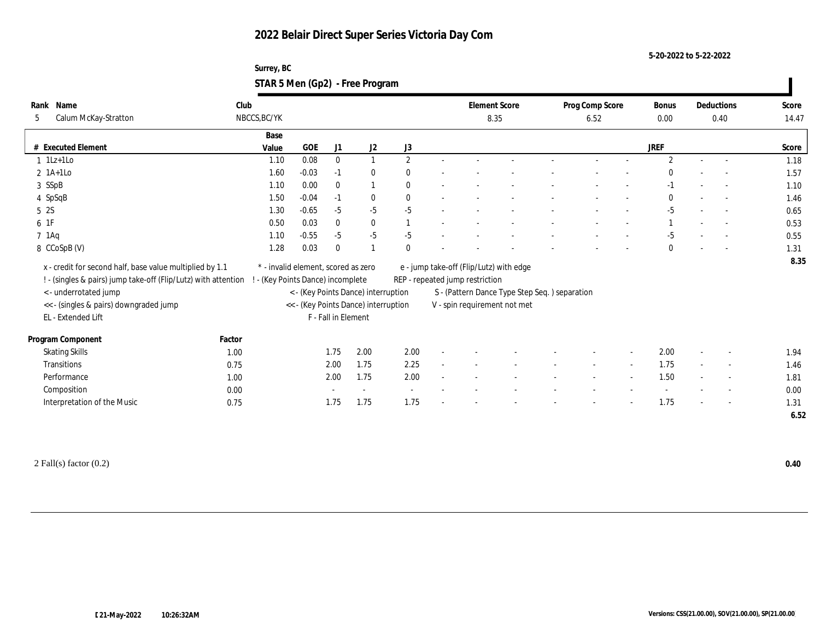**5-20-2022 to 5-22-2022**

| Surrey, BC                      |  |
|---------------------------------|--|
| STAR 5 Men (Gp2) - Free Program |  |

| Rank Name                                                      | Club   |                                     |         |                     | <b>Element Score</b>                 | Prog Comp Score |  | <b>Bonus</b>                    |                                                | Deductions | Score                    |                |        |        |       |
|----------------------------------------------------------------|--------|-------------------------------------|---------|---------------------|--------------------------------------|-----------------|--|---------------------------------|------------------------------------------------|------------|--------------------------|----------------|--------|--------|-------|
| Calum McKay-Stratton<br>5                                      |        | NBCCS, BC/YK                        |         |                     |                                      |                 |  |                                 | 8.35                                           | 6.52       |                          | 0.00           |        | 0.40   | 14.47 |
|                                                                |        | Base                                |         |                     |                                      |                 |  |                                 |                                                |            |                          |                |        |        |       |
| # Executed Element                                             |        | Value                               | GOE     | J1                  | J <sub>2</sub>                       | J3              |  |                                 |                                                |            |                          | JREF           |        |        | Score |
| $1$ 1Lz+1Lo                                                    |        | 1.10                                | 0.08    | $\bf{0}$            |                                      | $\overline{2}$  |  |                                 |                                                |            |                          | $\overline{2}$ | $\sim$ |        | 1.18  |
| $2$ 1A+1Lo                                                     |        | 1.60                                | $-0.03$ | $-1$                | $\bf{0}$                             | $\mathbf{0}$    |  |                                 |                                                |            |                          | $\Omega$       |        |        | 1.57  |
| 3 SSpB                                                         |        | 1.10                                | 0.00    | $\bf{0}$            |                                      | $\mathbf{0}$    |  |                                 |                                                |            |                          | $-1$           |        |        | 1.10  |
| 4 SpSqB                                                        |        | 1.50                                | $-0.04$ | $-1$                | $\bf{0}$                             | $\mathbf{0}$    |  |                                 |                                                |            |                          | $\mathbf{0}$   |        | $\sim$ | 1.46  |
| 5 2S                                                           |        | 1.30                                | $-0.65$ | $-5$                | $-5$                                 | $-5$            |  |                                 |                                                |            |                          | $-5$           |        | $\sim$ | 0.65  |
| 6 1F                                                           |        | 0.50                                | 0.03    | $\bf{0}$            | $\bf{0}$                             |                 |  |                                 |                                                |            |                          |                |        |        | 0.53  |
| $7$ 1Aq                                                        |        | 1.10                                | $-0.55$ | $-5$                | $-5$                                 | $-5$            |  |                                 |                                                |            |                          | $-5$           |        |        | 0.55  |
| 8 CCoSpB (V)                                                   |        | 1.28                                | 0.03    | $\mathbf{0}$        |                                      | $\mathbf{0}$    |  |                                 |                                                |            |                          | $\bf{0}$       |        |        | 1.31  |
| x - credit for second half, base value multiplied by 1.1       |        | * - invalid element, scored as zero |         |                     |                                      |                 |  |                                 | e - jump take-off (Flip/Lutz) with edge        |            |                          |                |        |        | 8.35  |
| ! - (singles & pairs) jump take-off (Flip/Lutz) with attention |        | - (Key Points Dance) incomplete     |         |                     |                                      |                 |  | REP - repeated jump restriction |                                                |            |                          |                |        |        |       |
| < - underrotated jump                                          |        |                                     |         |                     | < - (Key Points Dance) interruption  |                 |  |                                 | S - (Pattern Dance Type Step Seq. ) separation |            |                          |                |        |        |       |
| << - (singles & pairs) downgraded jump                         |        |                                     |         |                     | << - (Key Points Dance) interruption |                 |  |                                 | V - spin requirement not met                   |            |                          |                |        |        |       |
| EL - Extended Lift                                             |        |                                     |         | F - Fall in Element |                                      |                 |  |                                 |                                                |            |                          |                |        |        |       |
|                                                                |        |                                     |         |                     |                                      |                 |  |                                 |                                                |            |                          |                |        |        |       |
| Program Component                                              | Factor |                                     |         |                     |                                      |                 |  |                                 |                                                |            |                          |                |        |        |       |
| <b>Skating Skills</b>                                          | 1.00   |                                     |         | 1.75                | 2.00                                 | 2.00            |  |                                 |                                                |            |                          | 2.00           | $\sim$ | $\sim$ | 1.94  |
| <b>Transitions</b>                                             | 0.75   |                                     |         | 2.00                | 1.75                                 | 2.25            |  |                                 |                                                | $\sim$     | $\overline{\phantom{a}}$ | 1.75           | $\sim$ | $\sim$ | 1.46  |
| Performance                                                    | 1.00   |                                     |         | 2.00                | 1.75                                 | 2.00            |  |                                 |                                                |            |                          | 1.50           |        | $\sim$ | 1.81  |
| Composition                                                    | 0.00   |                                     |         |                     |                                      |                 |  |                                 |                                                |            |                          |                |        |        | 0.00  |
| Interpretation of the Music                                    | 0.75   |                                     |         | 1.75                | 1.75                                 | 1.75            |  |                                 |                                                |            |                          | 1.75           |        | $\sim$ | 1.31  |
|                                                                |        |                                     |         |                     |                                      |                 |  |                                 |                                                |            |                          |                |        |        | 6.52  |

2 Fall(s) factor (0.2) **0.40**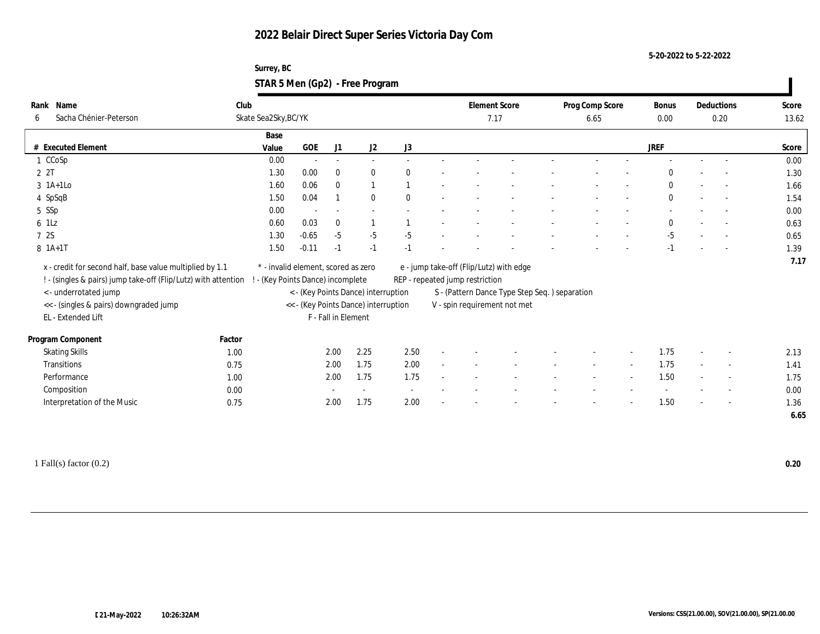#### **Surrey, BC STAR 5 Men (Gp2) - Free Program**

| Club<br><b>Element Score</b><br>Prog Comp Score<br>Rank Name<br>Bonus<br>Deductions<br>Skate Sea2Sky, BC/YK<br>Sacha Chénier-Peterson<br>6<br>7.17<br>0.00<br>6.65<br>0.20<br>Base<br>GOE<br>$\mathrm{J}2$<br>$\rm J3$<br><b>JREF</b><br># Executed Element<br>J1<br>Value<br>0.00<br>1 CCoSp<br>$\overline{a}$<br>2 2T<br>1.30<br>0.00<br>$\mathbf{0}$<br>$\theta$<br>$\mathbf{0}$<br>$\Omega$<br>$3$ 1A+1Lo<br>1.60<br>0.06<br>$\mathbf{0}$<br>$\mathbf{1}$<br>$\mathbf{0}$<br>0.04<br>$\mathbf{0}$<br>4 SpSqB<br>1.50<br>$\mathbf{0}$<br>$\mathbf{0}$<br>$\sim$<br>5 SSp<br>0.00<br>$6$ 1Lz<br>0.03<br>0.60<br>$\bf{0}$<br>$\mathbf{0}$<br>7 2S<br>$-0.65$<br>$-5$<br>1.30<br>$-5$<br>$-5$<br>$-5$<br>8 1A+1T<br>$-0.11$<br>1.50<br>$-1$<br>$-1$<br>$-1$<br>$-1$<br>x - credit for second half, base value multiplied by 1.1<br>$^\ast$ - invalid element, scored as zero<br>e - jump take-off (Flip/Lutz) with edge<br>REP - repeated jump restriction<br>! - (singles & pairs) jump take-off (Flip/Lutz) with attention<br>! - (Key Points Dance) incomplete<br><- underrotated jump<br>< - (Key Points Dance) interruption<br>S - (Pattern Dance Type Step Seq.) separation<br><< - (singles & pairs) downgraded jump<br><< - (Key Points Dance) interruption<br>V - spin requirement not met<br>EL - Extended Lift<br>F - Fall in Element<br>Factor<br>2.25<br>2.50<br><b>Skating Skills</b><br>2.00<br>1.75<br>1.00<br>1.75<br>2.00<br>1.75<br>Transitions<br>0.75<br>2.00<br>$\overline{\phantom{a}}$<br>$\sim$<br>$\overline{\phantom{a}}$<br>1.75<br>1.50<br>1.75<br>Performance<br>2.00<br>1.00<br>$\sim$<br>Composition<br>0.00<br>$\sim$<br>$\overline{\phantom{a}}$<br>1.75<br>Interpretation of the Music<br>2.00<br>1.50<br>0.75<br>2.00<br>$\sim$ |                   |  |  |  |  |  |  |  |       |
|---------------------------------------------------------------------------------------------------------------------------------------------------------------------------------------------------------------------------------------------------------------------------------------------------------------------------------------------------------------------------------------------------------------------------------------------------------------------------------------------------------------------------------------------------------------------------------------------------------------------------------------------------------------------------------------------------------------------------------------------------------------------------------------------------------------------------------------------------------------------------------------------------------------------------------------------------------------------------------------------------------------------------------------------------------------------------------------------------------------------------------------------------------------------------------------------------------------------------------------------------------------------------------------------------------------------------------------------------------------------------------------------------------------------------------------------------------------------------------------------------------------------------------------------------------------------------------------------------------------------------------------------------------------------------------------------------------------------------------------------------------------------|-------------------|--|--|--|--|--|--|--|-------|
|                                                                                                                                                                                                                                                                                                                                                                                                                                                                                                                                                                                                                                                                                                                                                                                                                                                                                                                                                                                                                                                                                                                                                                                                                                                                                                                                                                                                                                                                                                                                                                                                                                                                                                                                                                     |                   |  |  |  |  |  |  |  | Score |
|                                                                                                                                                                                                                                                                                                                                                                                                                                                                                                                                                                                                                                                                                                                                                                                                                                                                                                                                                                                                                                                                                                                                                                                                                                                                                                                                                                                                                                                                                                                                                                                                                                                                                                                                                                     |                   |  |  |  |  |  |  |  | 13.62 |
|                                                                                                                                                                                                                                                                                                                                                                                                                                                                                                                                                                                                                                                                                                                                                                                                                                                                                                                                                                                                                                                                                                                                                                                                                                                                                                                                                                                                                                                                                                                                                                                                                                                                                                                                                                     |                   |  |  |  |  |  |  |  |       |
|                                                                                                                                                                                                                                                                                                                                                                                                                                                                                                                                                                                                                                                                                                                                                                                                                                                                                                                                                                                                                                                                                                                                                                                                                                                                                                                                                                                                                                                                                                                                                                                                                                                                                                                                                                     |                   |  |  |  |  |  |  |  | Score |
|                                                                                                                                                                                                                                                                                                                                                                                                                                                                                                                                                                                                                                                                                                                                                                                                                                                                                                                                                                                                                                                                                                                                                                                                                                                                                                                                                                                                                                                                                                                                                                                                                                                                                                                                                                     |                   |  |  |  |  |  |  |  | 0.00  |
|                                                                                                                                                                                                                                                                                                                                                                                                                                                                                                                                                                                                                                                                                                                                                                                                                                                                                                                                                                                                                                                                                                                                                                                                                                                                                                                                                                                                                                                                                                                                                                                                                                                                                                                                                                     |                   |  |  |  |  |  |  |  | 1.30  |
|                                                                                                                                                                                                                                                                                                                                                                                                                                                                                                                                                                                                                                                                                                                                                                                                                                                                                                                                                                                                                                                                                                                                                                                                                                                                                                                                                                                                                                                                                                                                                                                                                                                                                                                                                                     |                   |  |  |  |  |  |  |  | 1.66  |
|                                                                                                                                                                                                                                                                                                                                                                                                                                                                                                                                                                                                                                                                                                                                                                                                                                                                                                                                                                                                                                                                                                                                                                                                                                                                                                                                                                                                                                                                                                                                                                                                                                                                                                                                                                     |                   |  |  |  |  |  |  |  | 1.54  |
|                                                                                                                                                                                                                                                                                                                                                                                                                                                                                                                                                                                                                                                                                                                                                                                                                                                                                                                                                                                                                                                                                                                                                                                                                                                                                                                                                                                                                                                                                                                                                                                                                                                                                                                                                                     |                   |  |  |  |  |  |  |  | 0.00  |
|                                                                                                                                                                                                                                                                                                                                                                                                                                                                                                                                                                                                                                                                                                                                                                                                                                                                                                                                                                                                                                                                                                                                                                                                                                                                                                                                                                                                                                                                                                                                                                                                                                                                                                                                                                     |                   |  |  |  |  |  |  |  | 0.63  |
|                                                                                                                                                                                                                                                                                                                                                                                                                                                                                                                                                                                                                                                                                                                                                                                                                                                                                                                                                                                                                                                                                                                                                                                                                                                                                                                                                                                                                                                                                                                                                                                                                                                                                                                                                                     |                   |  |  |  |  |  |  |  | 0.65  |
|                                                                                                                                                                                                                                                                                                                                                                                                                                                                                                                                                                                                                                                                                                                                                                                                                                                                                                                                                                                                                                                                                                                                                                                                                                                                                                                                                                                                                                                                                                                                                                                                                                                                                                                                                                     |                   |  |  |  |  |  |  |  | 1.39  |
|                                                                                                                                                                                                                                                                                                                                                                                                                                                                                                                                                                                                                                                                                                                                                                                                                                                                                                                                                                                                                                                                                                                                                                                                                                                                                                                                                                                                                                                                                                                                                                                                                                                                                                                                                                     |                   |  |  |  |  |  |  |  | 7.17  |
|                                                                                                                                                                                                                                                                                                                                                                                                                                                                                                                                                                                                                                                                                                                                                                                                                                                                                                                                                                                                                                                                                                                                                                                                                                                                                                                                                                                                                                                                                                                                                                                                                                                                                                                                                                     |                   |  |  |  |  |  |  |  |       |
|                                                                                                                                                                                                                                                                                                                                                                                                                                                                                                                                                                                                                                                                                                                                                                                                                                                                                                                                                                                                                                                                                                                                                                                                                                                                                                                                                                                                                                                                                                                                                                                                                                                                                                                                                                     |                   |  |  |  |  |  |  |  |       |
|                                                                                                                                                                                                                                                                                                                                                                                                                                                                                                                                                                                                                                                                                                                                                                                                                                                                                                                                                                                                                                                                                                                                                                                                                                                                                                                                                                                                                                                                                                                                                                                                                                                                                                                                                                     |                   |  |  |  |  |  |  |  |       |
|                                                                                                                                                                                                                                                                                                                                                                                                                                                                                                                                                                                                                                                                                                                                                                                                                                                                                                                                                                                                                                                                                                                                                                                                                                                                                                                                                                                                                                                                                                                                                                                                                                                                                                                                                                     |                   |  |  |  |  |  |  |  |       |
|                                                                                                                                                                                                                                                                                                                                                                                                                                                                                                                                                                                                                                                                                                                                                                                                                                                                                                                                                                                                                                                                                                                                                                                                                                                                                                                                                                                                                                                                                                                                                                                                                                                                                                                                                                     |                   |  |  |  |  |  |  |  |       |
|                                                                                                                                                                                                                                                                                                                                                                                                                                                                                                                                                                                                                                                                                                                                                                                                                                                                                                                                                                                                                                                                                                                                                                                                                                                                                                                                                                                                                                                                                                                                                                                                                                                                                                                                                                     | Program Component |  |  |  |  |  |  |  |       |
|                                                                                                                                                                                                                                                                                                                                                                                                                                                                                                                                                                                                                                                                                                                                                                                                                                                                                                                                                                                                                                                                                                                                                                                                                                                                                                                                                                                                                                                                                                                                                                                                                                                                                                                                                                     |                   |  |  |  |  |  |  |  | 2.13  |
|                                                                                                                                                                                                                                                                                                                                                                                                                                                                                                                                                                                                                                                                                                                                                                                                                                                                                                                                                                                                                                                                                                                                                                                                                                                                                                                                                                                                                                                                                                                                                                                                                                                                                                                                                                     |                   |  |  |  |  |  |  |  | 1.41  |
|                                                                                                                                                                                                                                                                                                                                                                                                                                                                                                                                                                                                                                                                                                                                                                                                                                                                                                                                                                                                                                                                                                                                                                                                                                                                                                                                                                                                                                                                                                                                                                                                                                                                                                                                                                     |                   |  |  |  |  |  |  |  | 1.75  |
|                                                                                                                                                                                                                                                                                                                                                                                                                                                                                                                                                                                                                                                                                                                                                                                                                                                                                                                                                                                                                                                                                                                                                                                                                                                                                                                                                                                                                                                                                                                                                                                                                                                                                                                                                                     |                   |  |  |  |  |  |  |  | 0.00  |
|                                                                                                                                                                                                                                                                                                                                                                                                                                                                                                                                                                                                                                                                                                                                                                                                                                                                                                                                                                                                                                                                                                                                                                                                                                                                                                                                                                                                                                                                                                                                                                                                                                                                                                                                                                     |                   |  |  |  |  |  |  |  | 1.36  |
|                                                                                                                                                                                                                                                                                                                                                                                                                                                                                                                                                                                                                                                                                                                                                                                                                                                                                                                                                                                                                                                                                                                                                                                                                                                                                                                                                                                                                                                                                                                                                                                                                                                                                                                                                                     |                   |  |  |  |  |  |  |  | 6.65  |

1 Fall(s) factor (0.2) **0.20**

 $\mathbf{I}$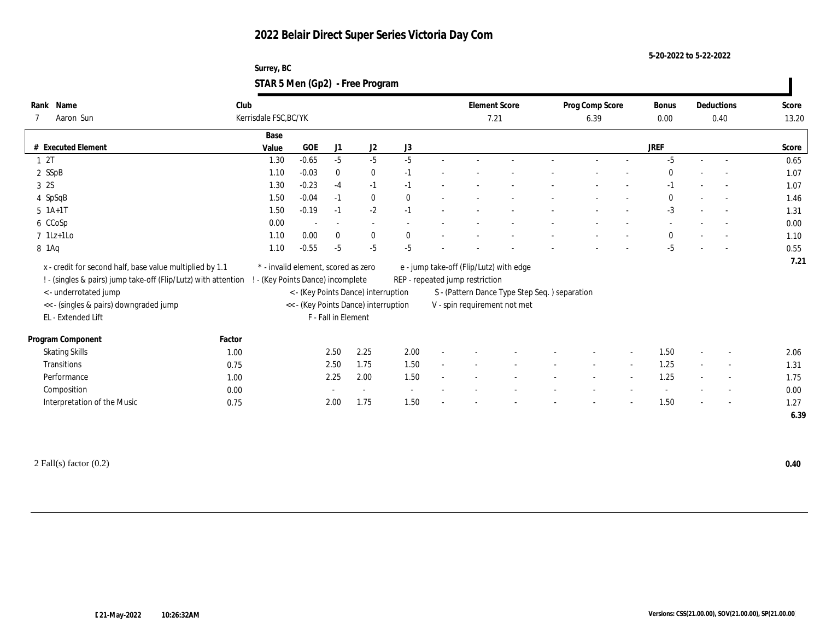**Surrey, BC STAR 5 Men (Gp2) - Free Program**

| Club<br>Rank Name<br><b>Element Score</b><br>Prog Comp Score<br>Deductions<br>Bonus<br>Kerrisdale FSC, BC/YK<br>Aaron Sun<br>7.21<br>6.39<br>0.00<br>0.40<br>Base<br><b>GOE</b><br># Executed Element<br>J2<br>J3<br><b>JREF</b><br>Value<br>J1<br>$-5$<br>12T<br>$-0.65$<br>$-5$<br>$-5$<br>$-5$<br>1.30<br>$\overline{a}$<br>2 SSpB<br>1.10<br>$-0.03$<br>$\bf{0}$<br>$\bf{0}$<br>$\theta$<br>$-1$<br>$\overline{a}$<br>3 2S<br>$-0.23$<br>1.30<br>$-1$<br>$-1$<br>$-4$<br>$-1$<br>$\sim$<br>$-0.04$<br>$\mathbf{0}$<br>$\theta$<br>4 SpSqB<br>1.50<br>$\mathbf{0}$<br>$-1$<br>$\overline{\phantom{a}}$<br>$-2$<br>$-3$<br>1.50<br>$-0.19$<br>$5 \; 1A+1T$<br>$-1$<br>$-1$<br>6 CCoSp<br>0.00<br>$\sim$<br>$\sim$<br>$\overline{\phantom{a}}$<br>$7$ 1Lz+1Lo<br>1.10<br>0.00<br>$\mathbf{0}$<br>$\mathbf{0}$<br>$\mathbf{0}$<br>$\mathbf{0}$<br>$\sim$<br>$-0.55$<br>$-5$<br>$-5$<br>1.10<br>$-5$<br>8 1 Aq<br>-5<br>x - credit for second half, base value multiplied by 1.1<br>* - invalid element, scored as zero<br>e - jump take-off (Flip/Lutz) with edge |       |
|-------------------------------------------------------------------------------------------------------------------------------------------------------------------------------------------------------------------------------------------------------------------------------------------------------------------------------------------------------------------------------------------------------------------------------------------------------------------------------------------------------------------------------------------------------------------------------------------------------------------------------------------------------------------------------------------------------------------------------------------------------------------------------------------------------------------------------------------------------------------------------------------------------------------------------------------------------------------------------------------------------------------------------------------------------------------|-------|
|                                                                                                                                                                                                                                                                                                                                                                                                                                                                                                                                                                                                                                                                                                                                                                                                                                                                                                                                                                                                                                                                   | Score |
|                                                                                                                                                                                                                                                                                                                                                                                                                                                                                                                                                                                                                                                                                                                                                                                                                                                                                                                                                                                                                                                                   | 13.20 |
|                                                                                                                                                                                                                                                                                                                                                                                                                                                                                                                                                                                                                                                                                                                                                                                                                                                                                                                                                                                                                                                                   |       |
|                                                                                                                                                                                                                                                                                                                                                                                                                                                                                                                                                                                                                                                                                                                                                                                                                                                                                                                                                                                                                                                                   | Score |
|                                                                                                                                                                                                                                                                                                                                                                                                                                                                                                                                                                                                                                                                                                                                                                                                                                                                                                                                                                                                                                                                   | 0.65  |
|                                                                                                                                                                                                                                                                                                                                                                                                                                                                                                                                                                                                                                                                                                                                                                                                                                                                                                                                                                                                                                                                   | 1.07  |
|                                                                                                                                                                                                                                                                                                                                                                                                                                                                                                                                                                                                                                                                                                                                                                                                                                                                                                                                                                                                                                                                   | 1.07  |
|                                                                                                                                                                                                                                                                                                                                                                                                                                                                                                                                                                                                                                                                                                                                                                                                                                                                                                                                                                                                                                                                   | 1.46  |
|                                                                                                                                                                                                                                                                                                                                                                                                                                                                                                                                                                                                                                                                                                                                                                                                                                                                                                                                                                                                                                                                   | 1.31  |
|                                                                                                                                                                                                                                                                                                                                                                                                                                                                                                                                                                                                                                                                                                                                                                                                                                                                                                                                                                                                                                                                   | 0.00  |
|                                                                                                                                                                                                                                                                                                                                                                                                                                                                                                                                                                                                                                                                                                                                                                                                                                                                                                                                                                                                                                                                   | 1.10  |
|                                                                                                                                                                                                                                                                                                                                                                                                                                                                                                                                                                                                                                                                                                                                                                                                                                                                                                                                                                                                                                                                   | 0.55  |
|                                                                                                                                                                                                                                                                                                                                                                                                                                                                                                                                                                                                                                                                                                                                                                                                                                                                                                                                                                                                                                                                   | 7.21  |
| (Key Points Dance) incomplete<br>REP - repeated jump restriction<br>! - (singles & pairs) jump take-off (Flip/Lutz) with attention                                                                                                                                                                                                                                                                                                                                                                                                                                                                                                                                                                                                                                                                                                                                                                                                                                                                                                                                |       |
| <- underrotated jump<br>< - (Key Points Dance) interruption<br>S - (Pattern Dance Type Step Seq.) separation                                                                                                                                                                                                                                                                                                                                                                                                                                                                                                                                                                                                                                                                                                                                                                                                                                                                                                                                                      |       |
| << - (singles & pairs) downgraded jump<br><< - (Key Points Dance) interruption<br>V - spin requirement not met                                                                                                                                                                                                                                                                                                                                                                                                                                                                                                                                                                                                                                                                                                                                                                                                                                                                                                                                                    |       |
| EL - Extended Lift<br>F - Fall in Element                                                                                                                                                                                                                                                                                                                                                                                                                                                                                                                                                                                                                                                                                                                                                                                                                                                                                                                                                                                                                         |       |
|                                                                                                                                                                                                                                                                                                                                                                                                                                                                                                                                                                                                                                                                                                                                                                                                                                                                                                                                                                                                                                                                   |       |
| Program Component<br>Factor                                                                                                                                                                                                                                                                                                                                                                                                                                                                                                                                                                                                                                                                                                                                                                                                                                                                                                                                                                                                                                       |       |
| 2.50<br>2.25<br>2.00<br><b>Skating Skills</b><br>1.50<br>1.00<br>$\overline{\phantom{a}}$                                                                                                                                                                                                                                                                                                                                                                                                                                                                                                                                                                                                                                                                                                                                                                                                                                                                                                                                                                         | 2.06  |
| 1.50<br>2.50<br>1.75<br>1.25<br>Transitions<br>0.75<br>$\overline{\phantom{a}}$<br>$\sim$                                                                                                                                                                                                                                                                                                                                                                                                                                                                                                                                                                                                                                                                                                                                                                                                                                                                                                                                                                         | 1.31  |
| 1.25<br>Performance<br>2.00<br>1.50<br>2.25<br>1.00<br>$\overline{\phantom{a}}$<br>$\overline{\phantom{a}}$                                                                                                                                                                                                                                                                                                                                                                                                                                                                                                                                                                                                                                                                                                                                                                                                                                                                                                                                                       | 1.75  |
| Composition<br>0.00<br>$\sim$<br>$\sim$<br>$\overline{\phantom{a}}$                                                                                                                                                                                                                                                                                                                                                                                                                                                                                                                                                                                                                                                                                                                                                                                                                                                                                                                                                                                               | 0.00  |
| 1.75<br>1.50<br>1.50<br>Interpretation of the Music<br>2.00<br>0.75<br>$\overline{\phantom{a}}$                                                                                                                                                                                                                                                                                                                                                                                                                                                                                                                                                                                                                                                                                                                                                                                                                                                                                                                                                                   | 1.27  |
|                                                                                                                                                                                                                                                                                                                                                                                                                                                                                                                                                                                                                                                                                                                                                                                                                                                                                                                                                                                                                                                                   | 6.39  |

2 Fall(s) factor (0.2) **0.40**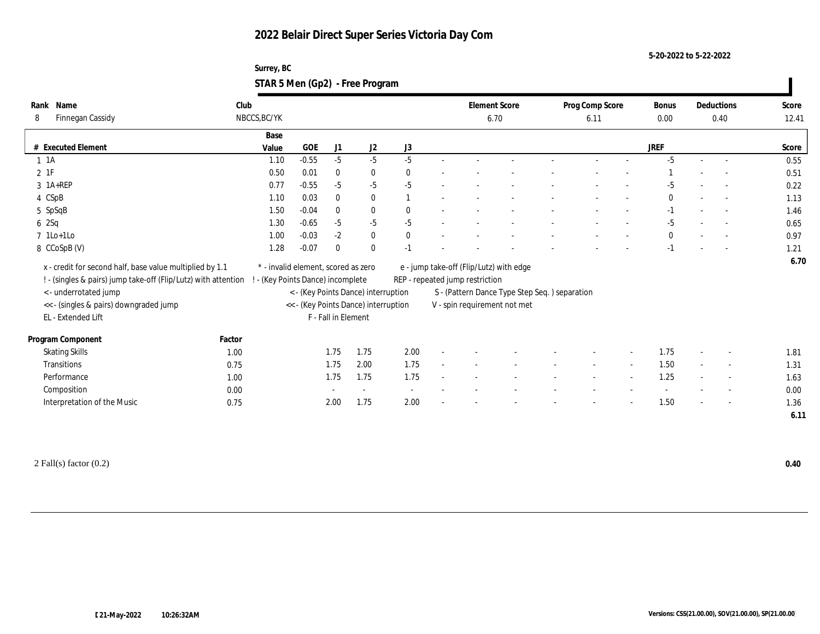**5-20-2022 to 5-22-2022**

| Surrey, BC                      |  |
|---------------------------------|--|
| STAR 5 Men (Gp2) - Free Program |  |

| Name<br>Rank                                                   | Club   |                                     |            |                     |                                      |              |                                 | <b>Element Score</b>                           |  | Prog Comp Score |                          | Bonus        |        | Deductions               | Score |
|----------------------------------------------------------------|--------|-------------------------------------|------------|---------------------|--------------------------------------|--------------|---------------------------------|------------------------------------------------|--|-----------------|--------------------------|--------------|--------|--------------------------|-------|
| Finnegan Cassidy<br>8                                          |        | NBCCS, BC/YK                        |            |                     |                                      |              |                                 | 6.70                                           |  | 6.11            |                          | 0.00         |        | 0.40                     | 12.41 |
|                                                                |        | Base                                |            |                     |                                      |              |                                 |                                                |  |                 |                          |              |        |                          |       |
| # Executed Element                                             |        | Value                               | <b>GOE</b> | J1                  | J2                                   | J3           |                                 |                                                |  |                 |                          | <b>JREF</b>  |        |                          | Score |
| $1 \t1A$                                                       |        | 1.10                                | $-0.55$    | $-5$                | $-5$                                 | $-5$         |                                 |                                                |  |                 |                          | $-5$         | $\sim$ | $\sim$                   | 0.55  |
| $2$ 1F                                                         |        | 0.50                                | 0.01       | $\bf{0}$            | $\bf{0}$                             | $\bf{0}$     |                                 |                                                |  |                 |                          |              |        |                          | 0.51  |
| 3 1A+REP                                                       |        | 0.77                                | $-0.55$    | $-5$                | $-5$                                 | $-5$         |                                 |                                                |  |                 |                          | -5           |        |                          | 0.22  |
| 4 CSpB                                                         |        | 1.10                                | 0.03       | $\bf{0}$            | $\bf{0}$                             |              |                                 |                                                |  |                 |                          | $\mathbf{0}$ | $\sim$ | $\sim$                   | 1.13  |
| 5 SpSqB                                                        |        | 1.50                                | $-0.04$    | $\bf{0}$            | $\bf{0}$                             | $\theta$     |                                 |                                                |  |                 |                          | $-1$         |        | $\sim$                   | 1.46  |
| 6 2Sq                                                          |        | 1.30                                | $-0.65$    | $-5$                | $-5$                                 | $-5$         |                                 |                                                |  |                 |                          | $-5$         |        | $\overline{\phantom{a}}$ | 0.65  |
| $7$ 1Lo+1Lo                                                    |        | 1.00                                | $-0.03$    | $-2$                | $\bf{0}$                             | $\mathbf{0}$ |                                 |                                                |  |                 |                          | $\bf{0}$     |        |                          | 0.97  |
| 8 CCoSpB (V)                                                   |        | 1.28                                | $-0.07$    | $\mathbf{0}$        | $\bf{0}$                             | $-1$         |                                 |                                                |  |                 |                          | $-1$         |        |                          | 1.21  |
| x - credit for second half, base value multiplied by 1.1       |        | * - invalid element, scored as zero |            |                     |                                      |              |                                 | e - jump take-off (Flip/Lutz) with edge        |  |                 |                          |              |        |                          | 6.70  |
| ! - (singles & pairs) jump take-off (Flip/Lutz) with attention |        | - (Key Points Dance) incomplete     |            |                     |                                      |              |                                 |                                                |  |                 |                          |              |        |                          |       |
|                                                                |        |                                     |            |                     |                                      |              | REP - repeated jump restriction |                                                |  |                 |                          |              |        |                          |       |
| < - underrotated jump                                          |        |                                     |            |                     | < - (Key Points Dance) interruption  |              |                                 | S - (Pattern Dance Type Step Seq. ) separation |  |                 |                          |              |        |                          |       |
| << - (singles & pairs) downgraded jump<br>EL - Extended Lift   |        |                                     |            | F - Fall in Element | << - (Key Points Dance) interruption |              |                                 | V - spin requirement not met                   |  |                 |                          |              |        |                          |       |
|                                                                |        |                                     |            |                     |                                      |              |                                 |                                                |  |                 |                          |              |        |                          |       |
| Program Component                                              | Factor |                                     |            |                     |                                      |              |                                 |                                                |  |                 |                          |              |        |                          |       |
| <b>Skating Skills</b>                                          | 1.00   |                                     |            | 1.75                | 1.75                                 | 2.00         |                                 |                                                |  |                 |                          | 1.75         |        | $\overline{\phantom{a}}$ | 1.81  |
| <b>Transitions</b>                                             | 0.75   |                                     |            | 1.75                | 2.00                                 | 1.75         |                                 |                                                |  | $\sim$          | $\overline{\phantom{a}}$ | 1.50         | $\sim$ | $\sim$                   | 1.31  |
| Performance                                                    | 1.00   |                                     |            | 1.75                | 1.75                                 | 1.75         |                                 |                                                |  |                 |                          | 1.25         |        | $\overline{\phantom{a}}$ | 1.63  |
| Composition                                                    | 0.00   |                                     |            |                     |                                      |              |                                 |                                                |  |                 |                          |              |        |                          | 0.00  |
| Interpretation of the Music                                    | 0.75   |                                     |            | 2.00                | 1.75                                 | 2.00         |                                 |                                                |  |                 |                          | 1.50         |        | $\sim$                   | 1.36  |
|                                                                |        |                                     |            |                     |                                      |              |                                 |                                                |  |                 |                          |              |        |                          | 6.11  |

2 Fall(s) factor (0.2) **0.40**